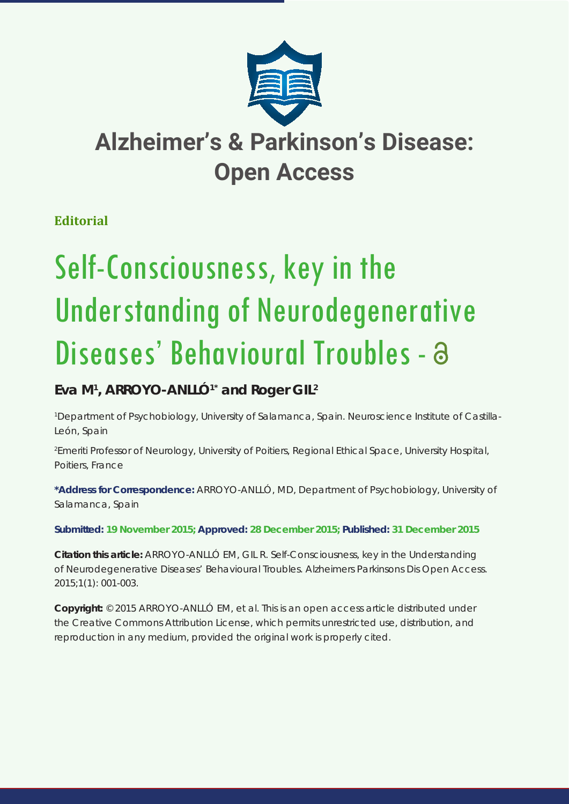

## **Alzheimer's & Parkinson's Disease: Open Access**

**Editorial**

# Self-Consciousness, key in the Understanding of Neurodegenerative Diseases' Behavioural Troubles - a

### **Eva M1 , ARROYO-ANLLÓ1\* and Roger GIL2**

*1 Department of Psychobiology, University of Salamanca, Spain. Neuroscience Institute of Castilla-León, Spain* 

*2 Emeriti Professor of Neurology, University of Poitiers, Regional Ethical Space, University Hospital, Poitiers, France*

**\*Address for Correspondence:** ARROYO-ANLLÓ, MD, Department of Psychobiology, University of Salamanca, Spain

**Submitted: 19 November 2015; Approved: 28 December 2015; Published: 31 December 2015**

**Citation this article:** ARROYO-ANLLÓ EM, GIL R. Self-Consciousness, key in the Understanding of Neurodegenerative Diseases' Behavioural Troubles. Alzheimers Parkinsons Dis Open Access. 2015;1(1): 001-003.

**Copyright:** © 2015 ARROYO-ANLLÓ EM, et al. This is an open access article distributed under the Creative Commons Attribution License, which permits unrestricted use, distribution, and reproduction in any medium, provided the original work is properly cited.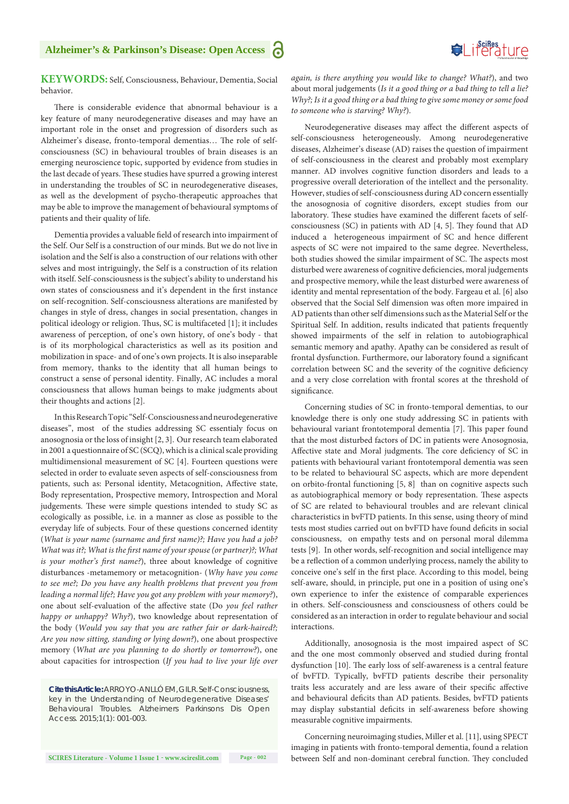#### **Alzheimer's & Parkinson's Disease: Open Access**



#### **KEYWORDS:** Self, Consciousness, Behaviour, Dementia, Social behavior.

There is considerable evidence that abnormal behaviour is a key feature of many neurodegenerative diseases and may have an important role in the onset and progression of disorders such as Alzheimer's disease, fronto-temporal dementias… The role of selfconsciousness (SC) in behavioural troubles of brain diseases is an emerging neuroscience topic, supported by evidence from studies in the last decade of years. These studies have spurred a growing interest in understanding the troubles of SC in neurodegenerative diseases, as well as the development of psycho-therapeutic approaches that may be able to improve the management of behavioural symptoms of patients and their quality of life.

Dementia provides a valuable field of research into impairment of the Self. Our Self is a construction of our minds. But we do not live in isolation and the Self is also a construction of our relations with other selves and most intriguingly, the Self is a construction of its relation with itself. Self-consciousness is the subject's ability to understand his own states of consciousness and it's dependent in the first instance on self-recognition. Self-consciousness alterations are manifested by changes in style of dress, changes in social presentation, changes in political ideology or religion. Thus, SC is multifaceted [1]; it includes awareness of perception, of one's own history, of one's body - that is of its morphological characteristics as well as its position and mobilization in space- and of one's own projects. It is also inseparable from memory, thanks to the identity that all human beings to construct a sense of personal identity. Finally, AC includes a moral consciousness that allows human beings to make judgments about their thoughts and actions [2].

In this Research Topic "Self-Consciousness and neurodegenerative diseases", most of the studies addressing SC essentialy focus on anosognosia or the loss of insight [2, 3]. Our research team elaborated in 2001 a questionnaire of SC (SCQ), which is a clinical scale providing multidimensional measurement of SC [4]. Fourteen questions were selected in order to evaluate seven aspects of self-consciousness from patients, such as: Personal identity, Metacognition, Affective state, Body representation, Prospective memory, Introspection and Moral judgements. These were simple questions intended to study SC as ecologically as possible, i.e. in a manner as close as possible to the everyday life of subjects. Four of these questions concerned identity (*What is your name (surname and first name)?; Have you had a job? What was it?; What is the first name of your spouse (or partner)?; What is your mother's first name?*), three about knowledge of cognitive disturbances -metamemory or metacognition- (*Why have you come to see me?; Do you have any health problems that prevent you from leading a normal life?; Have you got any problem with your memory?*), one about self-evaluation of the affective state (Do *you feel rather happy or unhappy? Why?*), two knowledge about representation of the body (*Would you say that you are rather fair or dark-haired?; Are you now sitting, standing or lying down?*), one about prospective memory (*What are you planning to do shortly or tomorrow?*), one about capacities for introspection (*If you had to live your life over* 

*Cite this Article: ARROYO-ANLLÓ EM, GIL R. Self-Consciousness, key in the Understanding of Neurodegenerative Diseases' Behavioural Troubles. Alzheimers Parkinsons Dis Open Access. 2015;1(1): 001-003.*

*again, is there anything you would like to change? What?*), and two about moral judgements (*Is it a good thing or a bad thing to tell a lie? Why?; Is it a good thing or a bad thing to give some money or some food to someone who is starving? Why?*).

Neurodegenerative diseases may affect the different aspects of self-consciousness heterogeneously. Among neurodegenerative diseases, Alzheimer's disease (AD) raises the question of impairment of self-consciousness in the clearest and probably most exemplary manner. AD involves cognitive function disorders and leads to a progressive overall deterioration of the intellect and the personality. However, studies of self-consciousness during AD concern essentially the anosognosia of cognitive disorders, except studies from our laboratory. These studies have examined the different facets of selfconsciousness (SC) in patients with AD [4, 5]. They found that AD induced a heterogeneous impairment of SC and hence different aspects of SC were not impaired to the same degree. Nevertheless, both studies showed the similar impairment of SC. The aspects most disturbed were awareness of cognitive deficiencies, moral judgements and prospective memory, while the least disturbed were awareness of identity and mental representation of the body. Fargeau et al. [6] also observed that the Social Self dimension was often more impaired in AD patients than other self dimensions such as the Material Self or the Spiritual Self. In addition, results indicated that patients frequently showed impairments of the self in relation to autobiographical semantic memory and apathy. Apathy can be considered as result of frontal dysfunction. Furthermore, our laboratory found a significant correlation between SC and the severity of the cognitive deficiency and a very close correlation with frontal scores at the threshold of significance.

Concerning studies of SC in fronto-temporal dementias, to our knowledge there is only one study addressing SC in patients with behavioural variant frontotemporal dementia [7]. This paper found that the most disturbed factors of DC in patients were Anosognosia, Affective state and Moral judgments. The core deficiency of SC in patients with behavioural variant frontotemporal dementia was seen to be related to behavioural SC aspects, which are more dependent on orbito-frontal functioning [5, 8] than on cognitive aspects such as autobiographical memory or body representation. These aspects of SC are related to behavioural troubles and are relevant clinical characteristics in bvFTD patients. In this sense, using theory of mind tests most studies carried out on bvFTD have found deficits in social consciousness, on empathy tests and on personal moral dilemma tests [9]. In other words, self-recognition and social intelligence may be a reflection of a common underlying process, namely the ability to conceive one's self in the first place. According to this model, being self-aware, should, in principle, put one in a position of using one's own experience to infer the existence of comparable experiences in others. Self-consciousness and consciousness of others could be considered as an interaction in order to regulate behaviour and social interactions.

Additionally, anosognosia is the most impaired aspect of SC and the one most commonly observed and studied during frontal dysfunction [10]. The early loss of self-awareness is a central feature of bvFTD. Typically, bvFTD patients describe their personality traits less accurately and are less aware of their specific affective and behavioural deficits than AD patients. Besides, bvFTD patients may display substantial deficits in self-awareness before showing measurable cognitive impairments.

Concerning neuroimaging studies, Miller et al. [11], using SPECT imaging in patients with fronto-temporal dementia, found a relation between Self and non-dominant cerebral function. They concluded